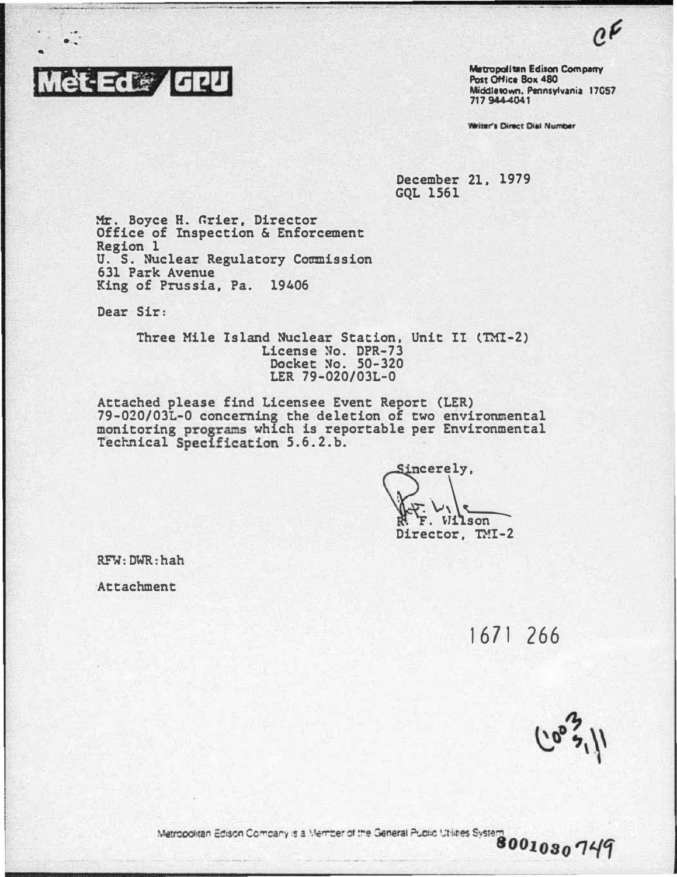

 $\ddot{\cdot}$ 

Metropalitan Edison Company Post Office Box 480 Middletown, Pennsylvania 17057 717 944-4041

 $e^{\boldsymbol{\mathcal{L}}}$ 

Writer's Direct Dial Number

December 21. 1979 GQL 1561

Mr. Boyce H. Grier, Director Office of Inspection & Enforcement Region l U. S. Nuclear Regulatory Commission 631 Park Avenue King of Prussia, Pa. 19406

Dear Sir:

Three Mile Island Nuclear Station. Unit II (TM!-2) License �o. DPR-73 Docket No. 50-320 LER 79-020/0JL-0

Attached please find Licensee Event Report (LER) 79-020/03L-0 concerning the deletion of two environmental monitoring programs which is reportable per Environmental Technical Specification 5.6.2.b.

Sincerely.  $\frac{1}{\sum_{i=1}^{n} y_i}$ Director. TMI-2

RFW: DWR: hah

·Attachment

1671 266

Metropolitan Edison Company is a Member of the General Public Utilities System 8001030749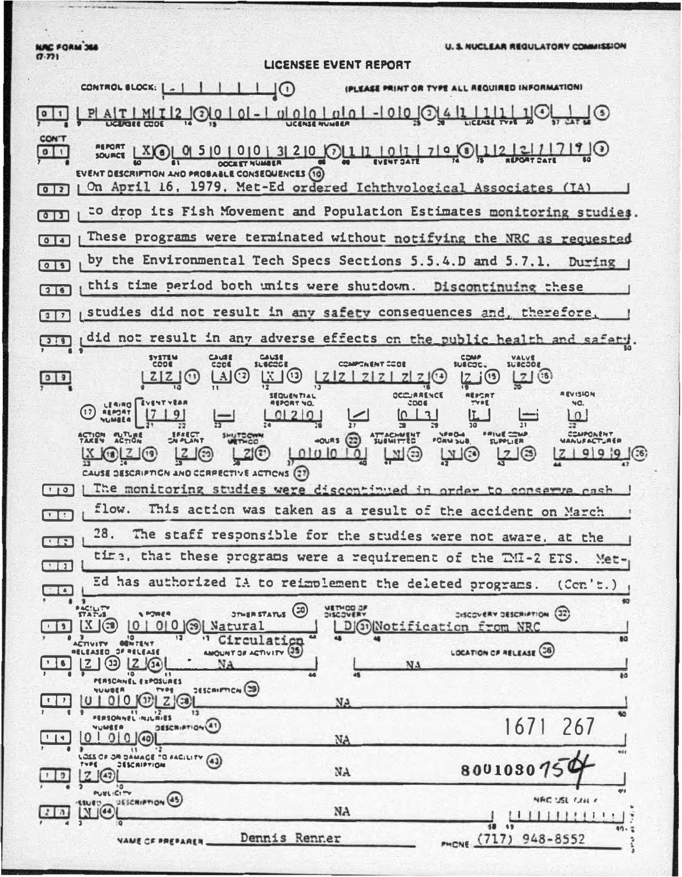NAC FORM 366

the state of the same state and the same state of the same state of the same state of the same state of the sa

U. S. NUCLEAR REGULATORY COMMISSION

| w.u              | LICENSEE EVENT REPORT                                                                                                                           |
|------------------|-------------------------------------------------------------------------------------------------------------------------------------------------|
|                  | IPLEASE PRINT OR TYPE ALL REQUIRED INFORMATIONI<br>CONTROL BLOCK:             0                                                                 |
|                  | 120000-00000000-00000                                                                                                                           |
| CON'T<br>011     | $X$ $\odot$ $\sim$ $950000013200$ $\odot$ $110011101$ $7190112121$                                                                              |
|                  | <b>DESCRIPTION AND PROBABLE CONSEQUENCES (10)</b><br>April 16, 1979, Met-Ed ordered Ichthyological Associates (IA)<br>On.                       |
| $\overline{1}$   | to drop its Fish Movement and Population Estimates monitoring studies.                                                                          |
| 011              | These programs were terminated without notifying the NRC as requested                                                                           |
|                  | by the Environmental Tech Specs Sections 5.5.4.D and 5.7.1. During                                                                              |
| 76               | this time period both units were shutdown. Discontinuing these                                                                                  |
|                  | studies did not result in any safety consequences and, therefore.                                                                               |
|                  | did not result in any adverse effects on the public health and safety.                                                                          |
| $99$             | COMPONENT CODE<br><b>COOS</b><br>$\Box$<br>$\mathbb{C}$<br>ZZZZ<br><b>NEVISION</b>                                                              |
|                  | LEAING   EVENT<br>чα.<br>$\Omega$                                                                                                               |
|                  | <u>COMPOR EN T</u><br><b>ATTACHMENT</b><br>$-0.085(22)$<br><b>PORM SUB.</b><br><b>SUPPLIER</b><br>0 <sub>0</sub><br><b>LYI</b><br>$\Box$<br>m @ |
| $T$ $\uparrow$ 0 | E DESCRIPTION AND CORPECTIVE ACTIONS (27)<br>  The monitoring studies were discontinued in order to conserve cash                               |
| <b>FR</b>        | flow.<br>This action was taken as a result of the accident on March                                                                             |
|                  | 28.<br>The staff responsible for the studies were not aware, at the                                                                             |
|                  | tine, that these programs were a requirement of the TMI-2 ETS. Met-                                                                             |
| $\frac{1}{2}$    | Ed has authorized IA to reimplement the deleted programs.<br>(Cer, E)                                                                           |
|                  | $\cdots$<br><b>METHOD OF</b><br>STATUS <sup>(30)</sup><br>DISCOVERY DESCRIPTION (32)<br>D(3) Notification from NRC<br>$010$ $(39)$ Na<br>60     |
|                  | <b>OBN?ENT</b><br>LOCATION OF RELEASE (36)<br>AMOUNT OF ACTIVITY (35)<br><b>MELEASED OF MELEASE</b><br>NA                                       |
|                  | 0 <sup>4</sup><br><b>EPOSURES</b><br>PERSCAINEL<br>$265$ airm $C_N(\mathfrak{B})$                                                               |
|                  | 10101012<br>$Z$ $G$<br>NA.<br>13<br>$\mathbf{1}$<br><b>SO</b>                                                                                   |
| $\frac{1}{2}$    | QANEL ・PLILの1ES<br>1671<br>267<br>DESCRIPTION(41<br><b>REBULI</b><br>01010<br>NA.                                                               |
|                  | m19<br>LOSS CF<br>OR DAMAGE TO FACILITY (43)<br><b>TVPE</b><br><b>JESCRIPTION</b><br>8001030<br>NA.                                             |
| $\mathbf{a}$     | ٠ø<br>PUBLICITY<br>NAC USL CAILY<br>UESCRIPTION (45)<br><b>ISSUED</b><br>$N$ $(44)$<br>NA<br>111!1111                                           |
|                  | 49<br>Dennis Renner<br>PHONE (717)<br>$948 - 8552$<br>VANE CF PREPARER                                                                          |